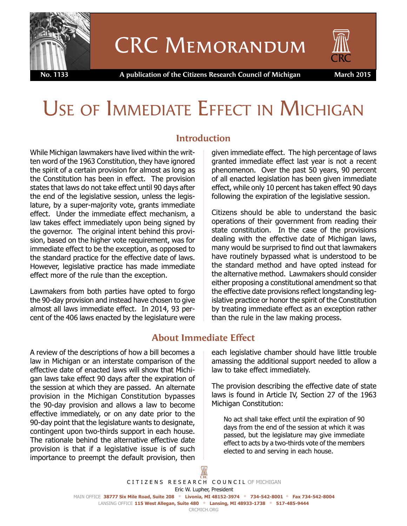

# CRC Memorandum



 **No. 1133 A publication of the Citizens Research Council of Michigan March 2015**

# USE OF IMMEDIATE EFFECT IN MICHIGAN

### **Introduction**

While Michigan lawmakers have lived within the written word of the 1963 Constitution, they have ignored the spirit of a certain provision for almost as long as the Constitution has been in effect. The provision states that laws do not take effect until 90 days after the end of the legislative session, unless the legislature, by a super-majority vote, grants immediate effect. Under the immediate effect mechanism, a law takes effect immediately upon being signed by the governor. The original intent behind this provision, based on the higher vote requirement, was for immediate effect to be the exception, as opposed to the standard practice for the effective date of laws. However, legislative practice has made immediate effect more of the rule than the exception.

Lawmakers from both parties have opted to forgo the 90-day provision and instead have chosen to give almost all laws immediate effect. In 2014, 93 percent of the 406 laws enacted by the legislature were

given immediate effect. The high percentage of laws granted immediate effect last year is not a recent phenomenon. Over the past 50 years, 90 percent of all enacted legislation has been given immediate effect, while only 10 percent has taken effect 90 days following the expiration of the legislative session.

Citizens should be able to understand the basic operations of their government from reading their state constitution. In the case of the provisions dealing with the effective date of Michigan laws, many would be surprised to find out that lawmakers have routinely bypassed what is understood to be the standard method and have opted instead for the alternative method. Lawmakers should consider either proposing a constitutional amendment so that the effective date provisions reflect longstanding legislative practice or honor the spirit of the Constitution by treating immediate effect as an exception rather than the rule in the law making process.

# **About Immediate Effect**

A review of the descriptions of how a bill becomes a law in Michigan or an interstate comparison of the effective date of enacted laws will show that Michigan laws take effect 90 days after the expiration of the session at which they are passed. An alternate provision in the Michigan Constitution bypasses the 90-day provision and allows a law to become effective immediately, or on any date prior to the 90-day point that the legislature wants to designate, contingent upon two-thirds support in each house. The rationale behind the alternative effective date provision is that if a legislative issue is of such importance to preempt the default provision, then

each legislative chamber should have little trouble amassing the additional support needed to allow a law to take effect immediately.

The provision describing the effective date of state laws is found in Article IV, Section 27 of the 1963 Michigan Constitution:

No act shall take effect until the expiration of 90 days from the end of the session at which it was passed, but the legislature may give immediate effect to acts by a two-thirds vote of the members elected to and serving in each house.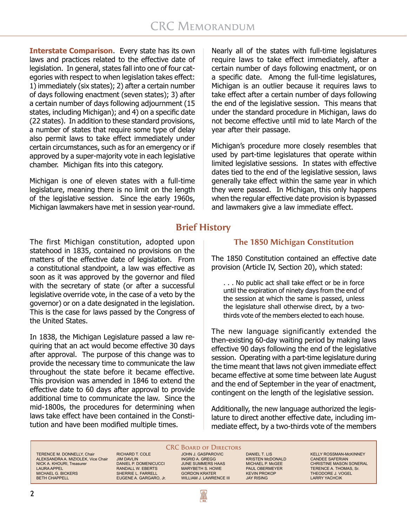**Interstate Comparison**. Every state has its own laws and practices related to the effective date of legislation. In general, states fall into one of four categories with respect to when legislation takes effect: 1) immediately (six states); 2) after a certain number of days following enactment (seven states); 3) after a certain number of days following adjournment (15 states, including Michigan); and 4) on a specific date (22 states). In addition to these standard provisions, a number of states that require some type of delay also permit laws to take effect immediately under certain circumstances, such as for an emergency or if approved by a super-majority vote in each legislative chamber. Michigan fits into this category.

Michigan is one of eleven states with a full-time legislature, meaning there is no limit on the length of the legislative session. Since the early 1960s, Michigan lawmakers have met in session year-round.

The first Michigan constitution, adopted upon statehood in 1835, contained no provisions on the matters of the effective date of legislation. From a constitutional standpoint, a law was effective as soon as it was approved by the governor and filed with the secretary of state (or after a successful legislative override vote, in the case of a veto by the governor) or on a date designated in the legislation. This is the case for laws passed by the Congress of the United States.

In 1838, the Michigan Legislature passed a law requiring that an act would become effective 30 days after approval. The purpose of this change was to provide the necessary time to communicate the law throughout the state before it became effective. This provision was amended in 1846 to extend the effective date to 60 days after approval to provide additional time to communicate the law. Since the mid-1800s, the procedures for determining when laws take effect have been contained in the Constitution and have been modified multiple times.

Nearly all of the states with full-time legislatures require laws to take effect immediately, after a certain number of days following enactment, or on a specific date. Among the full-time legislatures, Michigan is an outlier because it requires laws to take effect after a certain number of days following the end of the legislative session. This means that under the standard procedure in Michigan, laws do not become effective until mid to late March of the year after their passage.

Michigan's procedure more closely resembles that used by part-time legislatures that operate within limited legislative sessions. In states with effective dates tied to the end of the legislative session, laws generally take effect within the same year in which they were passed. In Michigan, this only happens when the regular effective date provision is bypassed and lawmakers give a law immediate effect.

## **Brief History**

#### **The 1850 Michigan Constitution**

The 1850 Constitution contained an effective date provision (Article IV, Section 20), which stated:

. . . No public act shall take effect or be in force until the expiration of ninety days from the end of the session at which the same is passed, unless the legislature shall otherwise direct, by a twothirds vote of the members elected to each house.

The new language significantly extended the then-existing 60-day waiting period by making laws effective 90 days following the end of the legislative session. Operating with a part-time legislature during the time meant that laws not given immediate effect became effective at some time between late August and the end of September in the year of enactment, contingent on the length of the legislative session.

Additionally, the new language authorized the legislature to direct another effective date, including immediate effect, by a two-thirds vote of the members

TERENCE M. DONNELLY, Chair ALEKSANDRA A. MIZIOLEK, Vice Chair NICK A. KHOURI, Treasurer LAURA APPEL MICHAEL G. BICKERS BETH CHAPPELL

RICHARD T. COLE JIM DAVLIN DANIEL P. DOMENICUCCI RANDALL W. EBERTS SHERRIE L. FARRELL EUGENE A. GARGARO, Jr.

#### **CRC BOARD OF DIRECTORS** JOHN J. GASPAROVIC

INGRID A. GREGG JUNE SUMMERS HAAS MARYBETH S. HOWE GORDON KRATER WILLIAM J. LAWRENCE III

R

DANIEL T. LIS KRISTEN McDONALD MICHAEL P. McGEE PAUL OBERMEYER KEVIN PROKOP JAY RISING

KELLY ROSSMAN-McKINNEY CANDEE SAFERIAN CHRISTINE MASON SONERAL TERENCE A. THOMAS, Sr. THEODORE J. VOGEL LARRY YACHCIK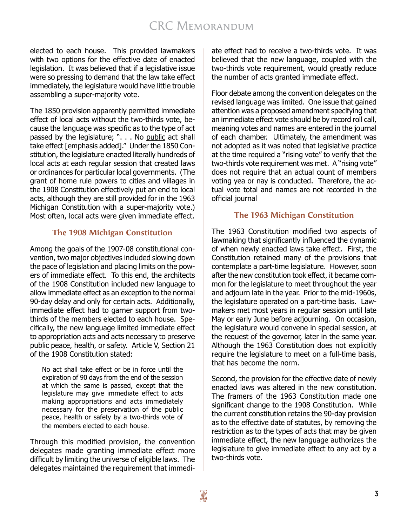elected to each house. This provided lawmakers with two options for the effective date of enacted legislation. It was believed that if a legislative issue were so pressing to demand that the law take effect immediately, the legislature would have little trouble assembling a super-majority vote.

The 1850 provision apparently permitted immediate effect of local acts without the two-thirds vote, because the language was specific as to the type of act passed by the legislature; ". . . No public act shall take effect [emphasis added]." Under the 1850 Constitution, the legislature enacted literally hundreds of local acts at each regular session that created laws or ordinances for particular local governments. (The grant of home rule powers to cities and villages in the 1908 Constitution effectively put an end to local acts, although they are still provided for in the 1963 Michigan Constitution with a super-majority vote.) Most often, local acts were given immediate effect.

#### **The 1908 Michigan Constitution**

Among the goals of the 1907-08 constitutional convention, two major objectives included slowing down the pace of legislation and placing limits on the powers of immediate effect. To this end, the architects of the 1908 Constitution included new language to allow immediate effect as an exception to the normal 90-day delay and only for certain acts. Additionally, immediate effect had to garner support from twothirds of the members elected to each house. Specifically, the new language limited immediate effect to appropriation acts and acts necessary to preserve public peace, health, or safety. Article V, Section 21 of the 1908 Constitution stated:

No act shall take effect or be in force until the expiration of 90 days from the end of the session at which the same is passed, except that the legislature may give immediate effect to acts making appropriations and acts immediately necessary for the preservation of the public peace, health or safety by a two-thirds vote of the members elected to each house.

Through this modified provision, the convention delegates made granting immediate effect more difficult by limiting the universe of eligible laws. The delegates maintained the requirement that immediate effect had to receive a two-thirds vote. It was believed that the new language, coupled with the two-thirds vote requirement, would greatly reduce the number of acts granted immediate effect.

Floor debate among the convention delegates on the revised language was limited. One issue that gained attention was a proposed amendment specifying that an immediate effect vote should be by record roll call, meaning votes and names are entered in the journal of each chamber. Ultimately, the amendment was not adopted as it was noted that legislative practice at the time required a "rising vote" to verify that the two-thirds vote requirement was met. A "rising vote" does not require that an actual count of members voting yea or nay is conducted. Therefore, the actual vote total and names are not recorded in the official journal

#### **The 1963 Michigan Constitution**

The 1963 Constitution modified two aspects of lawmaking that significantly influenced the dynamic of when newly enacted laws take effect. First, the Constitution retained many of the provisions that contemplate a part-time legislature. However, soon after the new constitution took effect, it became common for the legislature to meet throughout the year and adjourn late in the year. Prior to the mid-1960s, the legislature operated on a part-time basis. Lawmakers met most years in regular session until late May or early June before adjourning. On occasion, the legislature would convene in special session, at the request of the governor, later in the same year. Although the 1963 Constitution does not explicitly require the legislature to meet on a full-time basis, that has become the norm.

Second, the provision for the effective date of newly enacted laws was altered in the new constitution. The framers of the 1963 Constitution made one significant change to the 1908 Constitution. While the current constitution retains the 90-day provision as to the effective date of statutes, by removing the restriction as to the types of acts that may be given immediate effect, the new language authorizes the legislature to give immediate effect to any act by a two-thirds vote.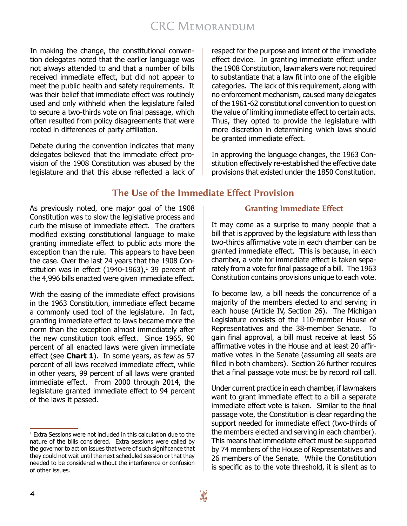In making the change, the constitutional convention delegates noted that the earlier language was not always attended to and that a number of bills received immediate effect, but did not appear to meet the public health and safety requirements. It was their belief that immediate effect was routinely used and only withheld when the legislature failed to secure a two-thirds vote on final passage, which often resulted from policy disagreements that were rooted in differences of party affiliation.

Debate during the convention indicates that many delegates believed that the immediate effect provision of the 1908 Constitution was abused by the legislature and that this abuse reflected a lack of respect for the purpose and intent of the immediate effect device. In granting immediate effect under the 1908 Constitution, lawmakers were not required to substantiate that a law fit into one of the eligible categories. The lack of this requirement, along with no enforcement mechanism, caused many delegates of the 1961-62 constitutional convention to question the value of limiting immediate effect to certain acts. Thus, they opted to provide the legislature with more discretion in determining which laws should be granted immediate effect.

In approving the language changes, the 1963 Constitution effectively re-established the effective date provisions that existed under the 1850 Constitution.

# **The Use of the Immediate Effect Provision**

As previously noted, one major goal of the 1908 Constitution was to slow the legislative process and curb the misuse of immediate effect. The drafters modified existing constitutional language to make granting immediate effect to public acts more the exception than the rule. This appears to have been the case. Over the last 24 years that the 1908 Constitution was in effect (1940-1963), $^1$  39 percent of the 4,996 bills enacted were given immediate effect.

With the easing of the immediate effect provisions in the 1963 Constitution, immediate effect became a commonly used tool of the legislature. In fact, granting immediate effect to laws became more the norm than the exception almost immediately after the new constitution took effect. Since 1965, 90 percent of all enacted laws were given immediate effect (see **Chart 1**). In some years, as few as 57 percent of all laws received immediate effect, while in other years, 99 percent of all laws were granted immediate effect. From 2000 through 2014, the legislature granted immediate effect to 94 percent of the laws it passed.

#### **Granting Immediate Effect**

It may come as a surprise to many people that a bill that is approved by the legislature with less than two-thirds affirmative vote in each chamber can be granted immediate effect. This is because, in each chamber, a vote for immediate effect is taken separately from a vote for final passage of a bill. The 1963 Constitution contains provisions unique to each vote.

To become law, a bill needs the concurrence of a majority of the members elected to and serving in each house (Article IV, Section 26). The Michigan Legislature consists of the 110-member House of Representatives and the 38-member Senate. To gain final approval, a bill must receive at least 56 affirmative votes in the House and at least 20 affirmative votes in the Senate (assuming all seats are filled in both chambers). Section 26 further requires that a final passage vote must be by record roll call.

Under current practice in each chamber, if lawmakers want to grant immediate effect to a bill a separate immediate effect vote is taken. Similar to the final passage vote, the Constitution is clear regarding the support needed for immediate effect (two-thirds of the members elected and serving in each chamber). This means that immediate effect must be supported by 74 members of the House of Representatives and 26 members of the Senate. While the Constitution is specific as to the vote threshold, it is silent as to

 $1$  Extra Sessions were not included in this calculation due to the nature of the bills considered. Extra sessions were called by the governor to act on issues that were of such significance that they could not wait until the next scheduled session or that they needed to be considered without the interference or confusion of other issues.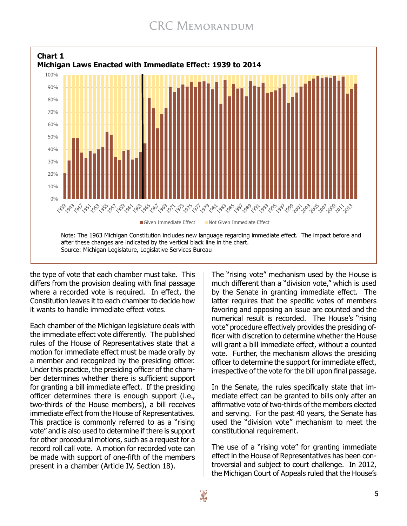

the type of vote that each chamber must take. This differs from the provision dealing with final passage where a recorded vote is required. In effect, the Constitution leaves it to each chamber to decide how it wants to handle immediate effect votes.

Each chamber of the Michigan legislature deals with the immediate effect vote differently. The published rules of the House of Representatives state that a motion for immediate effect must be made orally by a member and recognized by the presiding officer. Under this practice, the presiding officer of the chamber determines whether there is sufficient support for granting a bill immediate effect. If the presiding officer determines there is enough support (i.e., two-thirds of the House members), a bill receives immediate effect from the House of Representatives. This practice is commonly referred to as a "rising vote" and is also used to determine if there is support for other procedural motions, such as a request for a record roll call vote. A motion for recorded vote can be made with support of one-fifth of the members present in a chamber (Article IV, Section 18).

The "rising vote" mechanism used by the House is much different than a "division vote," which is used by the Senate in granting immediate effect. The latter requires that the specific votes of members favoring and opposing an issue are counted and the numerical result is recorded. The House's "rising vote" procedure effectively provides the presiding officer with discretion to determine whether the House will grant a bill immediate effect, without a counted vote. Further, the mechanism allows the presiding officer to determine the support for immediate effect, irrespective of the vote for the bill upon final passage.

In the Senate, the rules specifically state that immediate effect can be granted to bills only after an affirmative vote of two-thirds of the members elected and serving. For the past 40 years, the Senate has used the "division vote" mechanism to meet the constitutional requirement.

The use of a "rising vote" for granting immediate effect in the House of Representatives has been controversial and subject to court challenge. In 2012, the Michigan Court of Appeals ruled that the House's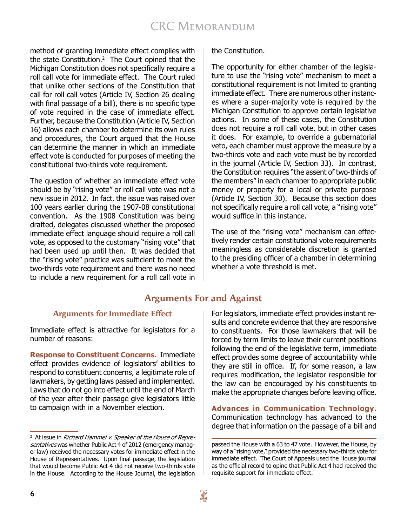method of granting immediate effect complies with the state Constitution.2 The Court opined that the Michigan Constitution does not specifically require a roll call vote for immediate effect. The Court ruled that unlike other sections of the Constitution that call for roll call votes (Article IV, Section 26 dealing with final passage of a bill), there is no specific type of vote required in the case of immediate effect. Further, because the Constitution (Article IV, Section 16) allows each chamber to determine its own rules and procedures, the Court argued that the House can determine the manner in which an immediate effect vote is conducted for purposes of meeting the constitutional two-thirds vote requirement.

The question of whether an immediate effect vote should be by "rising vote" or roll call vote was not a new issue in 2012. In fact, the issue was raised over 100 years earlier during the 1907-08 constitutional convention. As the 1908 Constitution was being drafted, delegates discussed whether the proposed immediate effect language should require a roll call vote, as opposed to the customary "rising vote" that had been used up until then. It was decided that the "rising vote" practice was sufficient to meet the two-thirds vote requirement and there was no need to include a new requirement for a roll call vote in

#### the Constitution.

The opportunity for either chamber of the legislature to use the "rising vote" mechanism to meet a constitutional requirement is not limited to granting immediate effect. There are numerous other instances where a super-majority vote is required by the Michigan Constitution to approve certain legislative actions. In some of these cases, the Constitution does not require a roll call vote, but in other cases it does. For example, to override a gubernatorial veto, each chamber must approve the measure by a two-thirds vote and each vote must be by recorded in the journal (Article IV, Section 33). In contrast, the Constitution requires "the assent of two-thirds of the members" in each chamber to appropriate public money or property for a local or private purpose (Article IV, Section 30). Because this section does not specifically require a roll call vote, a "rising vote" would suffice in this instance.

The use of the "rising vote" mechanism can effectively render certain constitutional vote requirements meaningless as considerable discretion is granted to the presiding officer of a chamber in determining whether a vote threshold is met.

# **Arguments For and Against**

#### **Arguments for Immediate Effect**

Immediate effect is attractive for legislators for a number of reasons:

**Response to Constituent Concerns.** Immediate effect provides evidence of legislators' abilities to respond to constituent concerns, a legitimate role of lawmakers, by getting laws passed and implemented. Laws that do not go into effect until the end of March of the year after their passage give legislators little to campaign with in a November election.

For legislators, immediate effect provides instant results and concrete evidence that they are responsive to constituents. For those lawmakers that will be forced by term limits to leave their current positions following the end of the legislative term, immediate effect provides some degree of accountability while they are still in office. If, for some reason, a law requires modification, the legislator responsible for the law can be encouraged by his constituents to make the appropriate changes before leaving office.

**Advances in Communication Technology.** Communication technology has advanced to the degree that information on the passage of a bill and

<sup>&</sup>lt;sup>2</sup> At issue in *Richard Hammel v. Speaker of the House of Repre*sentatives was whether Public Act 4 of 2012 (emergency manager law) received the necessary votes for immediate effect in the House of Representatives. Upon final passage, the legislation that would become Public Act 4 did not receive two-thirds vote in the House. According to the House Journal, the legislation

passed the House with a 63 to 47 vote. However, the House, by way of a "rising vote," provided the necessary two-thirds vote for immediate effect. The Court of Appeals used the House journal as the official record to opine that Public Act 4 had received the requisite support for immediate effect.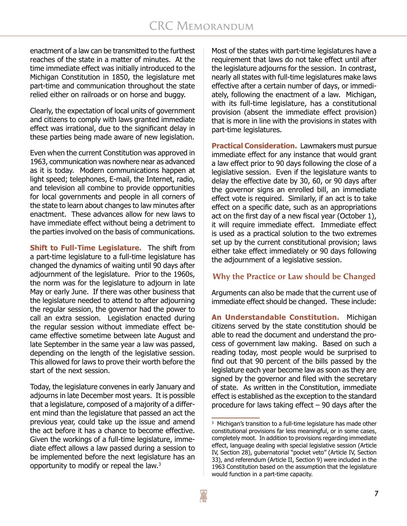enactment of a law can be transmitted to the furthest reaches of the state in a matter of minutes. At the time immediate effect was initially introduced to the Michigan Constitution in 1850, the legislature met part-time and communication throughout the state relied either on railroads or on horse and buggy.

Clearly, the expectation of local units of government and citizens to comply with laws granted immediate effect was irrational, due to the significant delay in these parties being made aware of new legislation.

Even when the current Constitution was approved in 1963, communication was nowhere near as advanced as it is today. Modern communications happen at light speed; telephones, E-mail, the Internet, radio, and television all combine to provide opportunities for local governments and people in all corners of the state to learn about changes to law minutes after enactment. These advances allow for new laws to have immediate effect without being a detriment to the parties involved on the basis of communications.

**Shift to Full-Time Legislature.** The shift from a part-time legislature to a full-time legislature has changed the dynamics of waiting until 90 days after adjournment of the legislature. Prior to the 1960s, the norm was for the legislature to adjourn in late May or early June. If there was other business that the legislature needed to attend to after adjourning the regular session, the governor had the power to call an extra session. Legislation enacted during the regular session without immediate effect became effective sometime between late August and late September in the same year a law was passed, depending on the length of the legislative session. This allowed for laws to prove their worth before the start of the next session.

Today, the legislature convenes in early January and adjourns in late December most years. It is possible that a legislature, composed of a majority of a different mind than the legislature that passed an act the previous year, could take up the issue and amend the act before it has a chance to become effective. Given the workings of a full-time legislature, immediate effect allows a law passed during a session to be implemented before the next legislature has an opportunity to modify or repeal the law.3

Most of the states with part-time legislatures have a requirement that laws do not take effect until after the legislature adjourns for the session. In contrast, nearly all states with full-time legislatures make laws effective after a certain number of days, or immediately, following the enactment of a law. Michigan, with its full-time legislature, has a constitutional provision (absent the immediate effect provision) that is more in line with the provisions in states with part-time legislatures.

**Practical Consideration.** Lawmakers must pursue immediate effect for any instance that would grant a law effect prior to 90 days following the close of a legislative session. Even if the legislature wants to delay the effective date by 30, 60, or 90 days after the governor signs an enrolled bill, an immediate effect vote is required. Similarly, if an act is to take effect on a specific date, such as an appropriations act on the first day of a new fiscal year (October 1), it will require immediate effect. Immediate effect is used as a practical solution to the two extremes set up by the current constitutional provision; laws either take effect immediately or 90 days following the adjournment of a legislative session.

#### **Why the Practice or Law should be Changed**

Arguments can also be made that the current use of immediate effect should be changed. These include:

**An Understandable Constitution.** Michigan citizens served by the state constitution should be able to read the document and understand the process of government law making. Based on such a reading today, most people would be surprised to find out that 90 percent of the bills passed by the legislature each year become law as soon as they are signed by the governor and filed with the secretary of state. As written in the Constitution, immediate effect is established as the exception to the standard procedure for laws taking effect – 90 days after the

<sup>3</sup> Michigan's transition to a full-time legislature has made other constitutional provisions far less meaningful, or in some cases, completely moot. In addition to provisions regarding immediate effect, language dealing with special legislative session (Article IV, Section 28), gubernatorial "pocket veto" (Article IV, Section 33), and referendum (Article II, Section 9) were included in the 1963 Constitution based on the assumption that the legislature would function in a part-time capacity.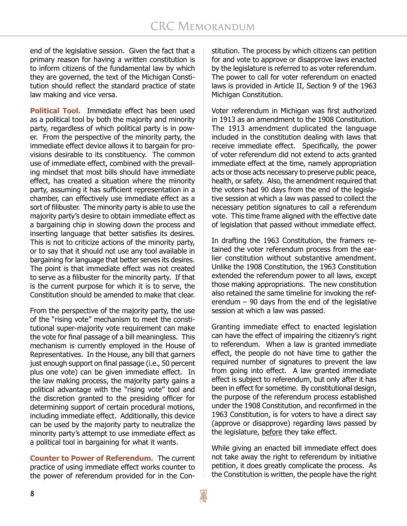end of the legislative session. Given the fact that a primary reason for having a written constitution is to inform citizens of the fundamental law by which they are governed, the text of the Michigan Constitution should reflect the standard practice of state law making and vice versa.

**Political Tool.** Immediate effect has been used as a political tool by both the majority and minority party, regardless of which political party is in power. From the perspective of the minority party, the immediate effect device allows it to bargain for provisions desirable to its constituency. The common use of immediate effect, combined with the prevailing mindset that most bills should have immediate effect, has created a situation where the minority party, assuming it has sufficient representation in a chamber, can effectively use immediate effect as a sort of filibuster. The minority party is able to use the majority party's desire to obtain immediate effect as a bargaining chip in slowing down the process and inserting language that better satisfies its desires. This is not to criticize actions of the minority party, or to say that it should not use any tool available in bargaining for language that better serves its desires. The point is that immediate effect was not created to serve as a filibuster for the minority party. If that is the current purpose for which it is to serve, the Constitution should be amended to make that clear.

From the perspective of the majority party, the use of the "rising vote" mechanism to meet the constitutional super-majority vote requirement can make the vote for final passage of a bill meaningless. This mechanism is currently employed in the House of Representatives. In the House, any bill that garners just enough support on final passage (i.e., 50 percent plus one vote) can be given immediate effect. In the law making process, the majority party gains a political advantage with the "rising vote" tool and the discretion granted to the presiding officer for determining support of certain procedural motions, including immediate effect. Additionally, this device can be used by the majority party to neutralize the minority party's attempt to use immediate effect as a political tool in bargaining for what it wants.

**Counter to Power of Referendum.** The current practice of using immediate effect works counter to the power of referendum provided for in the Constitution. The process by which citizens can petition for and vote to approve or disapprove laws enacted by the legislature is referred to as voter referendum. The power to call for voter referendum on enacted laws is provided in Article II, Section 9 of the 1963 Michigan Constitution.

Voter referendum in Michigan was first authorized in 1913 as an amendment to the 1908 Constitution. The 1913 amendment duplicated the language included in the constitution dealing with laws that receive immediate effect. Specifically, the power of voter referendum did not extend to acts granted immediate effect at the time, namely appropriation acts or those acts necessary to preserve public peace, health, or safety. Also, the amendment required that the voters had 90 days from the end of the legislative session at which a law was passed to collect the necessary petition signatures to call a referendum vote. This time frame aligned with the effective date of legislation that passed without immediate effect.

In drafting the 1963 Constitution, the framers retained the voter referendum process from the earlier constitution without substantive amendment. Unlike the 1908 Constitution, the 1963 Constitution extended the referendum power to all laws, except those making appropriations. The new constitution also retained the same timeline for invoking the referendum  $-90$  days from the end of the legislative session at which a law was passed.

Granting immediate effect to enacted legislation can have the effect of impairing the citizenry's right to referendum. When a law is granted immediate effect, the people do not have time to gather the required number of signatures to prevent the law from going into effect. A law granted immediate effect is subject to referendum, but only after it has been in effect for sometime. By constitutional design, the purpose of the referendum process established under the 1908 Constitution, and reconfirmed in the 1963 Constitution, is for voters to have a direct say (approve or disapprove) regarding laws passed by the legislature, before they take effect.

While giving an enacted bill immediate effect does not take away the right to referendum by initiative petition, it does greatly complicate the process. As the Constitution is written, the people have the right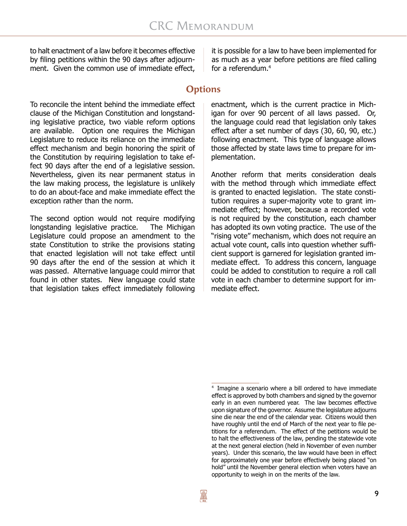to halt enactment of a law before it becomes effective by filing petitions within the 90 days after adjournment. Given the common use of immediate effect,

To reconcile the intent behind the immediate effect clause of the Michigan Constitution and longstanding legislative practice, two viable reform options are available. Option one requires the Michigan Legislature to reduce its reliance on the immediate effect mechanism and begin honoring the spirit of the Constitution by requiring legislation to take effect 90 days after the end of a legislative session. Nevertheless, given its near permanent status in the law making process, the legislature is unlikely to do an about-face and make immediate effect the exception rather than the norm.

The second option would not require modifying longstanding legislative practice. The Michigan Legislature could propose an amendment to the state Constitution to strike the provisions stating that enacted legislation will not take effect until 90 days after the end of the session at which it was passed. Alternative language could mirror that found in other states. New language could state that legislation takes effect immediately following

it is possible for a law to have been implemented for as much as a year before petitions are filed calling for a referendum.4

### **Options**

enactment, which is the current practice in Michigan for over 90 percent of all laws passed. Or, the language could read that legislation only takes effect after a set number of days (30, 60, 90, etc.) following enactment. This type of language allows those affected by state laws time to prepare for implementation.

Another reform that merits consideration deals with the method through which immediate effect is granted to enacted legislation. The state constitution requires a super-majority vote to grant immediate effect; however, because a recorded vote is not required by the constitution, each chamber has adopted its own voting practice. The use of the "rising vote" mechanism, which does not require an actual vote count, calls into question whether sufficient support is garnered for legislation granted immediate effect. To address this concern, language could be added to constitution to require a roll call vote in each chamber to determine support for immediate effect.

<sup>4</sup> Imagine a scenario where a bill ordered to have immediate effect is approved by both chambers and signed by the governor early in an even numbered year. The law becomes effective upon signature of the governor. Assume the legislature adjourns sine die near the end of the calendar year. Citizens would then have roughly until the end of March of the next year to file petitions for a referendum. The effect of the petitions would be to halt the effectiveness of the law, pending the statewide vote at the next general election (held in November of even number years). Under this scenario, the law would have been in effect for approximately one year before effectively being placed "on hold" until the November general election when voters have an opportunity to weigh in on the merits of the law.